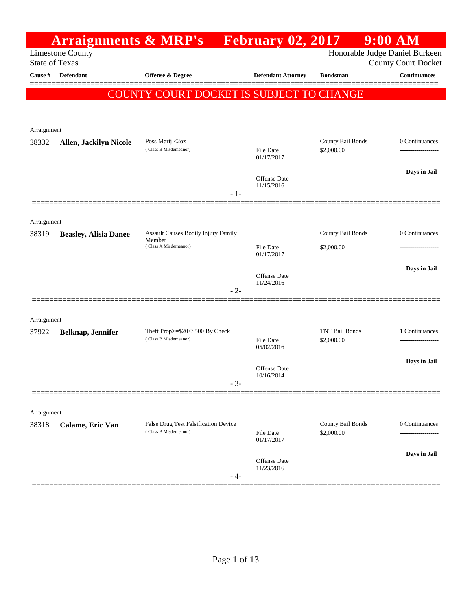|                       | <b>Arraignments &amp; MRP's</b> |                                                               |       | <b>February 02, 2017</b>       |                                     | $9:00$ AM    |                                                       |
|-----------------------|---------------------------------|---------------------------------------------------------------|-------|--------------------------------|-------------------------------------|--------------|-------------------------------------------------------|
| <b>State of Texas</b> | <b>Limestone County</b>         |                                                               |       |                                |                                     |              | Honorable Judge Daniel Burkeen<br>County Court Docket |
| Cause #               | <b>Defendant</b>                | <b>Offense &amp; Degree</b>                                   |       | <b>Defendant Attorney</b>      | <b>Bondsman</b>                     |              | <b>Continuances</b>                                   |
|                       |                                 | COUNTY COURT DOCKET IS SUBJECT TO CHANGE                      |       |                                |                                     |              |                                                       |
|                       |                                 |                                                               |       |                                |                                     |              |                                                       |
|                       |                                 |                                                               |       |                                |                                     |              |                                                       |
| Arraignment<br>38332  | <b>Allen, Jackilyn Nicole</b>   | Poss Marij <2oz                                               |       |                                | County Bail Bonds                   |              | 0 Continuances                                        |
|                       |                                 | (Class B Misdemeanor)                                         |       | File Date<br>01/17/2017        | \$2,000.00                          |              |                                                       |
|                       |                                 |                                                               |       | Offense Date                   |                                     | Days in Jail |                                                       |
|                       |                                 |                                                               | $-1-$ | 11/15/2016                     |                                     |              |                                                       |
|                       |                                 |                                                               |       |                                |                                     |              |                                                       |
| Arraignment           |                                 |                                                               |       |                                |                                     |              |                                                       |
| 38319                 | <b>Beasley, Alisia Danee</b>    | Assault Causes Bodily Injury Family<br>Member                 |       |                                | County Bail Bonds                   |              | 0 Continuances                                        |
|                       |                                 | (Class A Misdemeanor)                                         |       | File Date<br>01/17/2017        | \$2,000.00                          |              |                                                       |
|                       |                                 |                                                               |       | Offense Date                   |                                     |              | Days in Jail                                          |
|                       |                                 |                                                               | $-2-$ | 11/24/2016                     |                                     |              |                                                       |
|                       |                                 |                                                               |       |                                |                                     |              |                                                       |
| Arraignment           |                                 |                                                               |       |                                |                                     |              |                                                       |
| 37922                 | Belknap, Jennifer               | Theft Prop>=\$20<\$500 By Check<br>(Class B Misdemeanor)      |       | <b>File Date</b>               | <b>TNT Bail Bonds</b><br>\$2,000.00 |              | 1 Continuances                                        |
|                       |                                 |                                                               |       | 05/02/2016                     |                                     |              |                                                       |
|                       |                                 |                                                               |       | Offense Date                   |                                     |              | Days in Jail                                          |
|                       |                                 |                                                               | $-3-$ | 10/16/2014                     |                                     |              |                                                       |
|                       |                                 |                                                               |       |                                |                                     |              |                                                       |
| Arraignment           |                                 |                                                               |       |                                |                                     |              |                                                       |
| 38318                 | Calame, Eric Van                | False Drug Test Falsification Device<br>(Class B Misdemeanor) |       | <b>File Date</b><br>01/17/2017 | County Bail Bonds<br>\$2,000.00     |              | 0 Continuances<br>-----------------                   |
|                       |                                 |                                                               |       |                                |                                     |              | Days in Jail                                          |
|                       |                                 |                                                               | - 4-  | Offense Date<br>11/23/2016     |                                     |              |                                                       |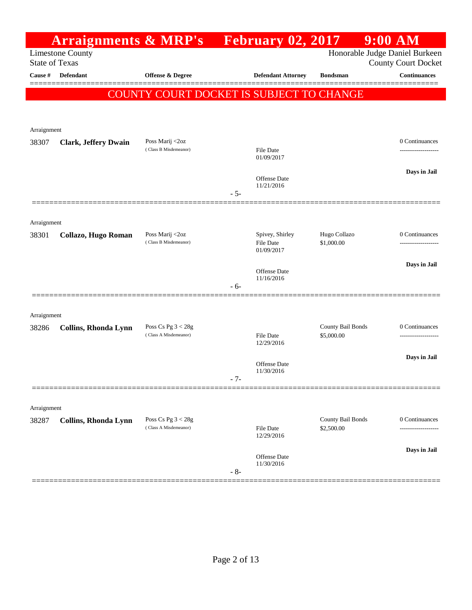|                       | <b>Arraignments &amp; MRP's</b> |                                                 |       | <b>Expedience February 02, 2017</b> |                                 | $9:00$ AM                                                    |
|-----------------------|---------------------------------|-------------------------------------------------|-------|-------------------------------------|---------------------------------|--------------------------------------------------------------|
| <b>State of Texas</b> | <b>Limestone County</b>         |                                                 |       |                                     |                                 | Honorable Judge Daniel Burkeen<br><b>County Court Docket</b> |
| Cause #               | Defendant                       | Offense & Degree                                |       | <b>Defendant Attorney</b>           | <b>Bondsman</b>                 | <b>Continuances</b>                                          |
|                       |                                 | <b>COUNTY COURT DOCKET IS SUBJECT TO CHANGE</b> |       |                                     |                                 |                                                              |
|                       |                                 |                                                 |       |                                     |                                 |                                                              |
|                       |                                 |                                                 |       |                                     |                                 |                                                              |
| Arraignment           |                                 |                                                 |       |                                     |                                 |                                                              |
| 38307                 | <b>Clark, Jeffery Dwain</b>     | Poss Marij <2oz<br>(Class B Misdemeanor)        |       | File Date                           |                                 | 0 Continuances                                               |
|                       |                                 |                                                 |       | 01/09/2017                          |                                 |                                                              |
|                       |                                 |                                                 |       | Offense Date                        |                                 | Days in Jail                                                 |
|                       |                                 |                                                 | $-5-$ | 11/21/2016                          |                                 |                                                              |
|                       |                                 |                                                 |       |                                     |                                 |                                                              |
| Arraignment           |                                 |                                                 |       |                                     |                                 |                                                              |
| 38301                 | Collazo, Hugo Roman             | Poss Marij <2oz                                 |       | Spivey, Shirley                     | Hugo Collazo                    | 0 Continuances                                               |
|                       |                                 | (Class B Misdemeanor)                           |       | File Date<br>01/09/2017             | \$1,000.00                      |                                                              |
|                       |                                 |                                                 |       |                                     |                                 | Days in Jail                                                 |
|                       |                                 |                                                 |       | Offense Date<br>11/16/2016          |                                 |                                                              |
|                       |                                 |                                                 | $-6-$ |                                     |                                 |                                                              |
|                       |                                 |                                                 |       |                                     |                                 |                                                              |
| Arraignment           |                                 |                                                 |       |                                     |                                 |                                                              |
| 38286                 | Collins, Rhonda Lynn            | Poss Cs Pg $3 < 28g$<br>(Class A Misdemeanor)   |       | <b>File Date</b>                    | County Bail Bonds<br>\$5,000.00 | 0 Continuances                                               |
|                       |                                 |                                                 |       | 12/29/2016                          |                                 |                                                              |
|                       |                                 |                                                 |       | Offense Date                        |                                 | Days in Jail                                                 |
|                       |                                 |                                                 | $-7-$ | 11/30/2016                          |                                 |                                                              |
|                       |                                 |                                                 |       |                                     |                                 |                                                              |
| Arraignment           |                                 |                                                 |       |                                     |                                 |                                                              |
| 38287                 | Collins, Rhonda Lynn            | Poss Cs Pg $3 < 28g$                            |       |                                     | County Bail Bonds               | 0 Continuances                                               |
|                       |                                 | (Class A Misdemeanor)                           |       | File Date<br>12/29/2016             | \$2,500.00                      |                                                              |
|                       |                                 |                                                 |       |                                     |                                 | Days in Jail                                                 |
|                       |                                 |                                                 |       | Offense Date<br>11/30/2016          |                                 |                                                              |
|                       |                                 |                                                 | $-8-$ |                                     |                                 |                                                              |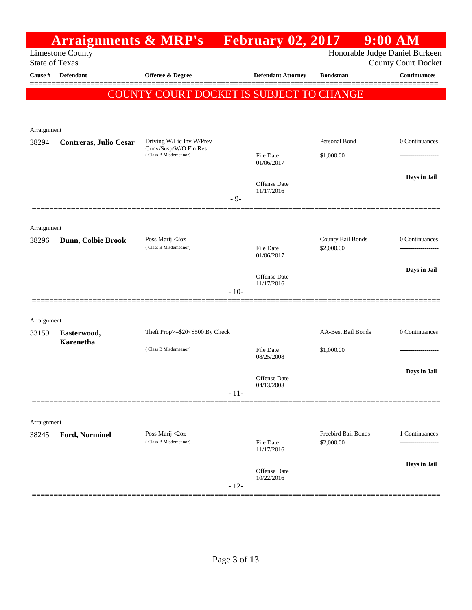| Honorable Judge Daniel Burkeen<br><b>Limestone County</b><br><b>State of Texas</b><br><b>County Court Docket</b><br>Continuances<br><b>Cause #</b><br>Defendant<br><b>Offense &amp; Degree</b><br><b>Defendant Attorney</b><br><b>Bondsman</b><br>COUNTY COURT DOCKET IS SUBJECT TO CHANGE<br>Arraignment<br>Personal Bond<br>Driving W/Lic Inv W/Prev<br>38294<br>Contreras, Julio Cesar<br>Conv/Susp/W/O Fin Res<br>(Class B Misdemeanor)<br><b>File Date</b><br>\$1,000.00<br>01/06/2017<br><b>Offense</b> Date<br>11/17/2016<br>$-9-$<br>Arraignment<br>County Bail Bonds<br>0 Continuances<br>Poss Marij <2oz<br>38296<br>Dunn, Colbie Brook<br>(Class B Misdemeanor)<br><b>File Date</b><br>\$2,000.00<br>01/06/2017<br><b>Offense Date</b><br>11/17/2016<br>$-10-$<br>Arraignment<br><b>AA-Best Bail Bonds</b><br>Theft Prop>=\$20<\$500 By Check<br>33159<br>Easterwood,<br><b>Karenetha</b><br>(Class B Misdemeanor)<br>File Date<br>\$1,000.00<br>08/25/2008<br><b>Offense Date</b><br>04/13/2008<br>$-11-$<br>Arraignment<br>Poss Marij <2oz<br>Freebird Bail Bonds<br>38245<br>Ford, Norminel<br>(Class B Misdemeanor)<br>\$2,000.00<br><b>File Date</b><br>11/17/2016<br>Offense Date<br>10/22/2016 | <b>Arraignments &amp; MRP's</b> |  | February 02, 2017 | $9:00$ AM          |
|------------------------------------------------------------------------------------------------------------------------------------------------------------------------------------------------------------------------------------------------------------------------------------------------------------------------------------------------------------------------------------------------------------------------------------------------------------------------------------------------------------------------------------------------------------------------------------------------------------------------------------------------------------------------------------------------------------------------------------------------------------------------------------------------------------------------------------------------------------------------------------------------------------------------------------------------------------------------------------------------------------------------------------------------------------------------------------------------------------------------------------------------------------------------------------------------------------------|---------------------------------|--|-------------------|--------------------|
|                                                                                                                                                                                                                                                                                                                                                                                                                                                                                                                                                                                                                                                                                                                                                                                                                                                                                                                                                                                                                                                                                                                                                                                                                  |                                 |  |                   |                    |
|                                                                                                                                                                                                                                                                                                                                                                                                                                                                                                                                                                                                                                                                                                                                                                                                                                                                                                                                                                                                                                                                                                                                                                                                                  |                                 |  |                   |                    |
|                                                                                                                                                                                                                                                                                                                                                                                                                                                                                                                                                                                                                                                                                                                                                                                                                                                                                                                                                                                                                                                                                                                                                                                                                  |                                 |  |                   |                    |
|                                                                                                                                                                                                                                                                                                                                                                                                                                                                                                                                                                                                                                                                                                                                                                                                                                                                                                                                                                                                                                                                                                                                                                                                                  |                                 |  |                   |                    |
|                                                                                                                                                                                                                                                                                                                                                                                                                                                                                                                                                                                                                                                                                                                                                                                                                                                                                                                                                                                                                                                                                                                                                                                                                  |                                 |  |                   |                    |
|                                                                                                                                                                                                                                                                                                                                                                                                                                                                                                                                                                                                                                                                                                                                                                                                                                                                                                                                                                                                                                                                                                                                                                                                                  |                                 |  |                   |                    |
|                                                                                                                                                                                                                                                                                                                                                                                                                                                                                                                                                                                                                                                                                                                                                                                                                                                                                                                                                                                                                                                                                                                                                                                                                  |                                 |  |                   | 0 Continuances     |
|                                                                                                                                                                                                                                                                                                                                                                                                                                                                                                                                                                                                                                                                                                                                                                                                                                                                                                                                                                                                                                                                                                                                                                                                                  |                                 |  |                   |                    |
|                                                                                                                                                                                                                                                                                                                                                                                                                                                                                                                                                                                                                                                                                                                                                                                                                                                                                                                                                                                                                                                                                                                                                                                                                  |                                 |  |                   |                    |
|                                                                                                                                                                                                                                                                                                                                                                                                                                                                                                                                                                                                                                                                                                                                                                                                                                                                                                                                                                                                                                                                                                                                                                                                                  |                                 |  |                   | Days in Jail       |
|                                                                                                                                                                                                                                                                                                                                                                                                                                                                                                                                                                                                                                                                                                                                                                                                                                                                                                                                                                                                                                                                                                                                                                                                                  |                                 |  |                   |                    |
|                                                                                                                                                                                                                                                                                                                                                                                                                                                                                                                                                                                                                                                                                                                                                                                                                                                                                                                                                                                                                                                                                                                                                                                                                  |                                 |  |                   |                    |
|                                                                                                                                                                                                                                                                                                                                                                                                                                                                                                                                                                                                                                                                                                                                                                                                                                                                                                                                                                                                                                                                                                                                                                                                                  |                                 |  |                   |                    |
|                                                                                                                                                                                                                                                                                                                                                                                                                                                                                                                                                                                                                                                                                                                                                                                                                                                                                                                                                                                                                                                                                                                                                                                                                  |                                 |  |                   |                    |
|                                                                                                                                                                                                                                                                                                                                                                                                                                                                                                                                                                                                                                                                                                                                                                                                                                                                                                                                                                                                                                                                                                                                                                                                                  |                                 |  |                   |                    |
|                                                                                                                                                                                                                                                                                                                                                                                                                                                                                                                                                                                                                                                                                                                                                                                                                                                                                                                                                                                                                                                                                                                                                                                                                  |                                 |  |                   |                    |
|                                                                                                                                                                                                                                                                                                                                                                                                                                                                                                                                                                                                                                                                                                                                                                                                                                                                                                                                                                                                                                                                                                                                                                                                                  |                                 |  |                   | Days in Jail       |
|                                                                                                                                                                                                                                                                                                                                                                                                                                                                                                                                                                                                                                                                                                                                                                                                                                                                                                                                                                                                                                                                                                                                                                                                                  |                                 |  |                   |                    |
|                                                                                                                                                                                                                                                                                                                                                                                                                                                                                                                                                                                                                                                                                                                                                                                                                                                                                                                                                                                                                                                                                                                                                                                                                  |                                 |  |                   |                    |
|                                                                                                                                                                                                                                                                                                                                                                                                                                                                                                                                                                                                                                                                                                                                                                                                                                                                                                                                                                                                                                                                                                                                                                                                                  |                                 |  |                   |                    |
|                                                                                                                                                                                                                                                                                                                                                                                                                                                                                                                                                                                                                                                                                                                                                                                                                                                                                                                                                                                                                                                                                                                                                                                                                  |                                 |  |                   | 0 Continuances     |
|                                                                                                                                                                                                                                                                                                                                                                                                                                                                                                                                                                                                                                                                                                                                                                                                                                                                                                                                                                                                                                                                                                                                                                                                                  |                                 |  |                   |                    |
|                                                                                                                                                                                                                                                                                                                                                                                                                                                                                                                                                                                                                                                                                                                                                                                                                                                                                                                                                                                                                                                                                                                                                                                                                  |                                 |  |                   |                    |
|                                                                                                                                                                                                                                                                                                                                                                                                                                                                                                                                                                                                                                                                                                                                                                                                                                                                                                                                                                                                                                                                                                                                                                                                                  |                                 |  |                   | Days in Jail       |
|                                                                                                                                                                                                                                                                                                                                                                                                                                                                                                                                                                                                                                                                                                                                                                                                                                                                                                                                                                                                                                                                                                                                                                                                                  |                                 |  |                   |                    |
|                                                                                                                                                                                                                                                                                                                                                                                                                                                                                                                                                                                                                                                                                                                                                                                                                                                                                                                                                                                                                                                                                                                                                                                                                  |                                 |  |                   |                    |
|                                                                                                                                                                                                                                                                                                                                                                                                                                                                                                                                                                                                                                                                                                                                                                                                                                                                                                                                                                                                                                                                                                                                                                                                                  |                                 |  |                   |                    |
|                                                                                                                                                                                                                                                                                                                                                                                                                                                                                                                                                                                                                                                                                                                                                                                                                                                                                                                                                                                                                                                                                                                                                                                                                  |                                 |  |                   |                    |
|                                                                                                                                                                                                                                                                                                                                                                                                                                                                                                                                                                                                                                                                                                                                                                                                                                                                                                                                                                                                                                                                                                                                                                                                                  |                                 |  |                   | 1 Continuances<br> |
|                                                                                                                                                                                                                                                                                                                                                                                                                                                                                                                                                                                                                                                                                                                                                                                                                                                                                                                                                                                                                                                                                                                                                                                                                  |                                 |  |                   |                    |
|                                                                                                                                                                                                                                                                                                                                                                                                                                                                                                                                                                                                                                                                                                                                                                                                                                                                                                                                                                                                                                                                                                                                                                                                                  |                                 |  |                   | Days in Jail       |
| $-12-$                                                                                                                                                                                                                                                                                                                                                                                                                                                                                                                                                                                                                                                                                                                                                                                                                                                                                                                                                                                                                                                                                                                                                                                                           |                                 |  |                   |                    |
|                                                                                                                                                                                                                                                                                                                                                                                                                                                                                                                                                                                                                                                                                                                                                                                                                                                                                                                                                                                                                                                                                                                                                                                                                  |                                 |  |                   |                    |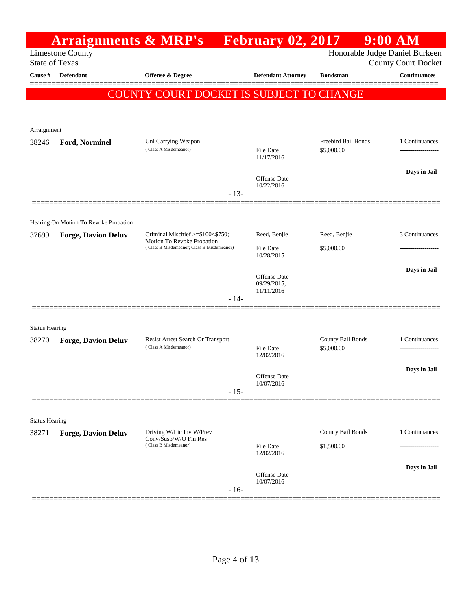|                       | <b>Arraignments &amp; MRP's</b>                                                 |                                                                          | <b>February 02, 2017</b>       |                                   | $9:00$ AM                                  |
|-----------------------|---------------------------------------------------------------------------------|--------------------------------------------------------------------------|--------------------------------|-----------------------------------|--------------------------------------------|
|                       | <b>Limestone County</b><br><b>State of Texas</b>                                |                                                                          |                                | Honorable Judge Daniel Burkeen    |                                            |
| Cause #               | <b>Defendant</b>                                                                | Offense & Degree                                                         | <b>Defendant Attorney</b>      | <b>Bondsman</b>                   | <b>County Court Docket</b><br>Continuances |
|                       |                                                                                 |                                                                          |                                |                                   |                                            |
|                       |                                                                                 | COUNTY COURT DOCKET IS SUBJECT TO CHANGE                                 |                                |                                   |                                            |
|                       |                                                                                 |                                                                          |                                |                                   |                                            |
| Arraignment           |                                                                                 |                                                                          |                                |                                   |                                            |
| 38246                 | Ford, Norminel                                                                  | Unl Carrying Weapon<br>(Class A Misdemeanor)                             | File Date<br>11/17/2016        | Freebird Bail Bonds<br>\$5,000.00 | 1 Continuances                             |
|                       |                                                                                 |                                                                          | Offense Date                   |                                   | Days in Jail                               |
|                       |                                                                                 | $-13-$                                                                   | 10/22/2016                     |                                   |                                            |
|                       |                                                                                 |                                                                          |                                |                                   |                                            |
|                       | Hearing On Motion To Revoke Probation                                           | Criminal Mischief $\ge$ =\$100<\$750;                                    | Reed, Benjie                   | Reed, Benjie                      | 3 Continuances                             |
| 37699                 | <b>Forge, Davion Deluv</b>                                                      | Motion To Revoke Probation<br>(Class B Misdemeanor; Class B Misdemeanor) | <b>File Date</b>               | \$5,000.00                        | ----------------                           |
|                       |                                                                                 |                                                                          | 10/28/2015                     |                                   |                                            |
|                       |                                                                                 |                                                                          | Offense Date                   |                                   | Days in Jail                               |
|                       |                                                                                 |                                                                          | 09/29/2015;<br>11/11/2016      |                                   |                                            |
|                       |                                                                                 | $-14-$                                                                   |                                |                                   |                                            |
| <b>Status Hearing</b> |                                                                                 |                                                                          |                                |                                   |                                            |
| 38270                 | <b>Forge, Davion Deluv</b>                                                      | Resist Arrest Search Or Transport                                        |                                | County Bail Bonds                 | 1 Continuances                             |
|                       |                                                                                 | (Class A Misdemeanor)                                                    | <b>File Date</b><br>12/02/2016 | \$5,000.00                        |                                            |
|                       |                                                                                 |                                                                          | <b>Offense</b> Date            |                                   | Days in Jail                               |
|                       |                                                                                 | $-15-$                                                                   | 10/07/2016                     |                                   |                                            |
|                       |                                                                                 |                                                                          |                                |                                   |                                            |
| <b>Status Hearing</b> |                                                                                 |                                                                          |                                |                                   |                                            |
| 38271                 | <b>Forge, Davion Deluv</b><br>Driving W/Lic Inv W/Prev<br>Conv/Susp/W/O Fin Res |                                                                          |                                | County Bail Bonds                 | 1 Continuances                             |
|                       |                                                                                 | (Class B Misdemeanor)                                                    | File Date<br>12/02/2016        | \$1,500.00                        |                                            |
|                       |                                                                                 |                                                                          |                                |                                   | Days in Jail                               |
|                       |                                                                                 |                                                                          | Offense Date<br>10/07/2016     |                                   |                                            |
|                       |                                                                                 | $-16-$                                                                   |                                |                                   |                                            |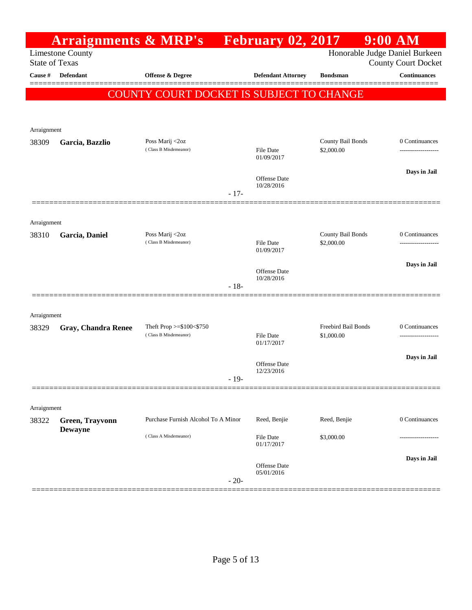|                      | <b>Arraignments &amp; MRP's</b>                  |                                          |        | <b>February 02, 2017</b>          |                                 | $9:00$ AM                                                    |
|----------------------|--------------------------------------------------|------------------------------------------|--------|-----------------------------------|---------------------------------|--------------------------------------------------------------|
|                      | <b>Limestone County</b><br><b>State of Texas</b> |                                          |        |                                   |                                 | Honorable Judge Daniel Burkeen<br><b>County Court Docket</b> |
| Cause #              | Defendant                                        | Offense & Degree                         |        | <b>Defendant Attorney</b>         | <b>Bondsman</b>                 | <b>Continuances</b>                                          |
|                      |                                                  | COUNTY COURT DOCKET IS SUBJECT TO CHANGE |        |                                   |                                 |                                                              |
|                      |                                                  |                                          |        |                                   |                                 |                                                              |
| Arraignment          |                                                  |                                          |        |                                   |                                 |                                                              |
| 38309                | Garcia, Bazzlio                                  | Poss Marij <2oz                          |        |                                   | County Bail Bonds               | 0 Continuances                                               |
|                      |                                                  | (Class B Misdemeanor)                    |        | File Date<br>01/09/2017           | \$2,000.00                      |                                                              |
|                      |                                                  |                                          |        | <b>Offense Date</b>               |                                 | Days in Jail                                                 |
|                      |                                                  |                                          | $-17-$ | 10/28/2016                        |                                 |                                                              |
|                      |                                                  |                                          |        |                                   |                                 |                                                              |
| Arraignment          |                                                  |                                          |        |                                   |                                 |                                                              |
| 38310                | Garcia, Daniel                                   | Poss Marij <2oz<br>(Class B Misdemeanor) |        | <b>File Date</b>                  | County Bail Bonds<br>\$2,000.00 | 0 Continuances<br>-------------------                        |
|                      |                                                  |                                          |        | 01/09/2017                        |                                 |                                                              |
|                      |                                                  |                                          |        | <b>Offense Date</b><br>10/28/2016 |                                 | Days in Jail                                                 |
|                      |                                                  |                                          | $-18-$ |                                   |                                 |                                                              |
|                      |                                                  |                                          |        |                                   |                                 |                                                              |
| Arraignment<br>38329 | <b>Gray, Chandra Renee</b>                       | Theft Prop >=\$100<\$750                 |        |                                   | Freebird Bail Bonds             | 0 Continuances                                               |
|                      |                                                  | (Class B Misdemeanor)                    |        | <b>File Date</b><br>01/17/2017    | \$1,000.00                      | -------------------                                          |
|                      |                                                  |                                          |        |                                   |                                 | Days in Jail                                                 |
|                      |                                                  |                                          |        | Offense Date<br>12/23/2016        |                                 |                                                              |
|                      |                                                  |                                          | - 19-  |                                   |                                 |                                                              |
| Arraignment          |                                                  |                                          |        |                                   |                                 |                                                              |
| 38322                | Green, Trayvonn                                  | Purchase Furnish Alcohol To A Minor      |        | Reed, Benjie                      | Reed, Benjie                    | 0 Continuances                                               |
|                      | <b>Dewayne</b>                                   | (Class A Misdemeanor)                    |        | File Date<br>01/17/2017           | \$3,000.00                      |                                                              |
|                      |                                                  |                                          |        |                                   |                                 | Days in Jail                                                 |
|                      |                                                  |                                          |        | <b>Offense Date</b><br>05/01/2016 |                                 |                                                              |
|                      |                                                  |                                          | $-20-$ |                                   |                                 |                                                              |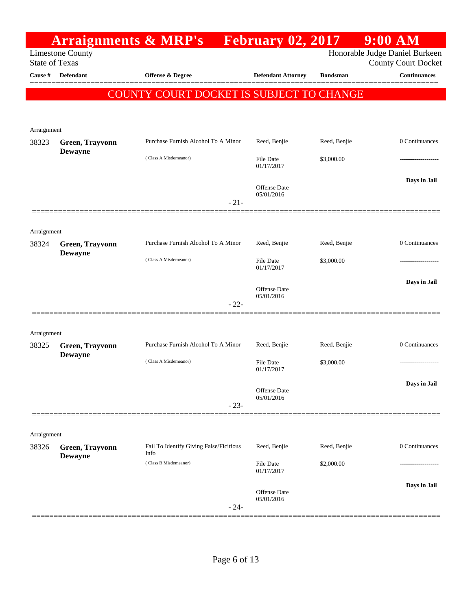|                      |                                                  | <b>Arraignments &amp; MRP's</b> February 02, 2017 |        |                                   |                 | 9:00 AM                                                      |
|----------------------|--------------------------------------------------|---------------------------------------------------|--------|-----------------------------------|-----------------|--------------------------------------------------------------|
|                      | <b>Limestone County</b><br><b>State of Texas</b> |                                                   |        |                                   |                 | Honorable Judge Daniel Burkeen<br><b>County Court Docket</b> |
| Cause #              | <b>Defendant</b>                                 | <b>Offense &amp; Degree</b>                       |        | <b>Defendant Attorney</b>         | <b>Bondsman</b> | <b>Continuances</b>                                          |
|                      |                                                  |                                                   |        |                                   |                 |                                                              |
|                      |                                                  | COUNTY COURT DOCKET IS SUBJECT TO CHANGE          |        |                                   |                 |                                                              |
|                      |                                                  |                                                   |        |                                   |                 |                                                              |
| Arraignment<br>38323 | Green, Trayvonn                                  | Purchase Furnish Alcohol To A Minor               |        | Reed, Benjie                      | Reed, Benjie    | 0 Continuances                                               |
|                      | <b>Dewayne</b>                                   | (Class A Misdemeanor)                             |        | File Date<br>01/17/2017           | \$3,000.00      |                                                              |
|                      |                                                  |                                                   |        | <b>Offense Date</b>               |                 | Days in Jail                                                 |
|                      |                                                  |                                                   | $-21-$ | 05/01/2016                        |                 |                                                              |
| Arraignment          |                                                  |                                                   |        |                                   |                 |                                                              |
| 38324                | Green, Trayvonn<br><b>Dewayne</b>                | Purchase Furnish Alcohol To A Minor               |        | Reed, Benjie                      | Reed, Benjie    | 0 Continuances                                               |
|                      |                                                  | (Class A Misdemeanor)                             |        | <b>File Date</b><br>01/17/2017    | \$3,000.00      |                                                              |
|                      |                                                  |                                                   |        | <b>Offense Date</b><br>05/01/2016 |                 | Days in Jail                                                 |
|                      |                                                  |                                                   | $-22-$ |                                   |                 |                                                              |
| Arraignment          |                                                  |                                                   |        |                                   |                 |                                                              |
| 38325                | Green, Trayvonn<br><b>Dewayne</b>                | Purchase Furnish Alcohol To A Minor               |        | Reed, Benjie                      | Reed, Benjie    | 0 Continuances                                               |
|                      |                                                  | (Class A Misdemeanor)                             |        | <b>File Date</b><br>01/17/2017    | \$3,000.00      | -------------------                                          |
|                      |                                                  |                                                   |        | <b>Offense Date</b><br>05/01/2016 |                 | Days in Jail                                                 |
|                      |                                                  |                                                   | $-23-$ |                                   |                 |                                                              |
| Arraignment          |                                                  |                                                   |        |                                   |                 |                                                              |
| 38326                | Green, Trayvonn<br><b>Dewayne</b>                | Fail To Identify Giving False/Ficitious<br>Info   |        | Reed, Benjie                      | Reed, Benjie    | 0 Continuances                                               |
|                      |                                                  | (Class B Misdemeanor)                             |        | <b>File Date</b><br>01/17/2017    | \$2,000.00      |                                                              |
|                      |                                                  |                                                   |        | <b>Offense Date</b><br>05/01/2016 |                 | Days in Jail                                                 |
|                      |                                                  |                                                   | $-24-$ |                                   |                 |                                                              |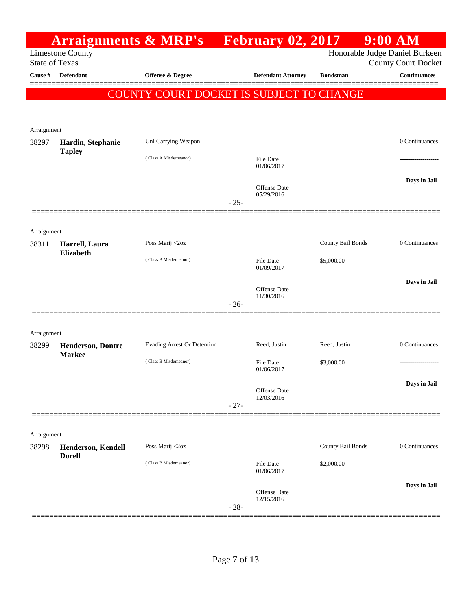|             |                                                  | <b>Arraignments &amp; MRP's</b> February 02, 2017 |        |                           |                   | $9:00$ AM                                         |
|-------------|--------------------------------------------------|---------------------------------------------------|--------|---------------------------|-------------------|---------------------------------------------------|
|             | <b>Limestone County</b><br><b>State of Texas</b> |                                                   |        |                           |                   | Honorable Judge Daniel Burkeen                    |
| Cause #     | <b>Defendant</b>                                 | <b>Offense &amp; Degree</b>                       |        | <b>Defendant Attorney</b> | <b>Bondsman</b>   | <b>County Court Docket</b><br><b>Continuances</b> |
|             |                                                  |                                                   |        |                           |                   |                                                   |
|             |                                                  | COUNTY COURT DOCKET IS SUBJECT TO CHANGE          |        |                           |                   |                                                   |
|             |                                                  |                                                   |        |                           |                   |                                                   |
| Arraignment |                                                  |                                                   |        |                           |                   |                                                   |
| 38297       | Hardin, Stephanie                                | Unl Carrying Weapon                               |        |                           |                   | 0 Continuances                                    |
|             | <b>Tapley</b>                                    | (Class A Misdemeanor)                             |        | <b>File Date</b>          |                   |                                                   |
|             |                                                  |                                                   |        | 01/06/2017                |                   |                                                   |
|             |                                                  |                                                   |        | Offense Date              |                   | Days in Jail                                      |
|             |                                                  |                                                   | $-25-$ | 05/29/2016                |                   |                                                   |
|             |                                                  |                                                   |        |                           |                   |                                                   |
| Arraignment |                                                  |                                                   |        |                           |                   |                                                   |
| 38311       | Harrell, Laura                                   | Poss Marij <2oz                                   |        |                           | County Bail Bonds | 0 Continuances                                    |
|             | <b>Elizabeth</b>                                 | (Class B Misdemeanor)                             |        | <b>File Date</b>          | \$5,000.00        |                                                   |
|             |                                                  |                                                   |        | 01/09/2017                |                   |                                                   |
|             |                                                  |                                                   |        | <b>Offense Date</b>       |                   | Days in Jail                                      |
|             |                                                  |                                                   | $-26-$ | 11/30/2016                |                   |                                                   |
|             |                                                  |                                                   |        |                           |                   |                                                   |
| Arraignment |                                                  |                                                   |        |                           |                   |                                                   |
| 38299       | <b>Henderson, Dontre</b>                         | Evading Arrest Or Detention                       |        | Reed, Justin              | Reed, Justin      | 0 Continuances                                    |
|             | <b>Markee</b>                                    | (Class B Misdemeanor)                             |        | File Date                 | \$3,000.00        | -----------------                                 |
|             |                                                  |                                                   |        | 01/06/2017                |                   |                                                   |
|             |                                                  |                                                   |        | Offense Date              |                   | Days in Jail                                      |
|             |                                                  |                                                   | $-27-$ | 12/03/2016                |                   |                                                   |
|             |                                                  |                                                   |        |                           |                   |                                                   |
| Arraignment |                                                  |                                                   |        |                           |                   |                                                   |
| 38298       | Henderson, Kendell                               | Poss Marij <2oz                                   |        |                           | County Bail Bonds | 0 Continuances                                    |
|             | <b>Dorell</b>                                    | (Class B Misdemeanor)                             |        | <b>File Date</b>          | \$2,000.00        | .                                                 |
|             |                                                  |                                                   |        | 01/06/2017                |                   |                                                   |
|             |                                                  |                                                   |        | Offense Date              |                   | Days in Jail                                      |
|             |                                                  |                                                   | $-28-$ | 12/15/2016                |                   |                                                   |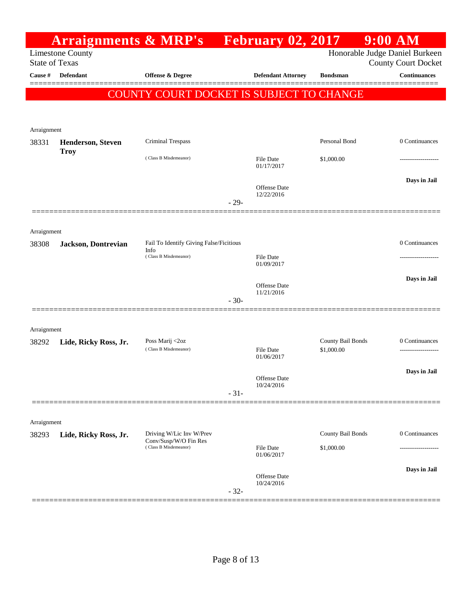|                       |                                          | <b>Arraignments &amp; MRP's</b> February 02, 2017 |        |                                |                   | $9:00$ AM                                         |
|-----------------------|------------------------------------------|---------------------------------------------------|--------|--------------------------------|-------------------|---------------------------------------------------|
| <b>State of Texas</b> | <b>Limestone County</b>                  |                                                   |        |                                |                   | Honorable Judge Daniel Burkeen                    |
| <b>Cause</b> #        | Defendant                                | Offense & Degree                                  |        | <b>Defendant Attorney</b>      | <b>Bondsman</b>   | <b>County Court Docket</b><br><b>Continuances</b> |
|                       |                                          |                                                   |        |                                |                   |                                                   |
|                       |                                          | COUNTY COURT DOCKET IS SUBJECT TO CHANGE          |        |                                |                   |                                                   |
|                       |                                          |                                                   |        |                                |                   |                                                   |
| Arraignment           |                                          |                                                   |        |                                |                   |                                                   |
| 38331                 | <b>Henderson</b> , Steven<br><b>Troy</b> | Criminal Trespass                                 |        |                                | Personal Bond     | 0 Continuances                                    |
|                       |                                          | (Class B Misdemeanor)                             |        | File Date<br>01/17/2017        | \$1,000.00        |                                                   |
|                       |                                          |                                                   |        | Offense Date                   |                   | Days in Jail                                      |
|                       |                                          |                                                   | $-29-$ | 12/22/2016                     |                   |                                                   |
|                       |                                          |                                                   |        |                                |                   |                                                   |
| Arraignment           |                                          |                                                   |        |                                |                   |                                                   |
| 38308                 | Jackson, Dontrevian                      | Fail To Identify Giving False/Ficitious           |        |                                |                   | 0 Continuances                                    |
|                       |                                          | Info<br>(Class B Misdemeanor)                     |        | <b>File Date</b>               |                   |                                                   |
|                       |                                          |                                                   |        | 01/09/2017                     |                   |                                                   |
|                       |                                          |                                                   |        | Offense Date                   |                   | Days in Jail                                      |
|                       |                                          |                                                   | $-30-$ | 11/21/2016                     |                   |                                                   |
|                       |                                          |                                                   |        |                                |                   |                                                   |
| Arraignment           |                                          |                                                   |        |                                |                   |                                                   |
| 38292                 | Lide, Ricky Ross, Jr.                    | Poss Marij <2oz<br>(Class B Misdemeanor)          |        |                                | County Bail Bonds | 0 Continuances                                    |
|                       |                                          |                                                   |        | <b>File Date</b><br>01/06/2017 | \$1,000.00        | ---------------                                   |
|                       |                                          |                                                   |        | Offense Date                   |                   | Days in Jail                                      |
|                       |                                          |                                                   | $-31-$ | 10/24/2016                     |                   |                                                   |
|                       |                                          |                                                   |        |                                |                   |                                                   |
| Arraignment           |                                          |                                                   |        |                                |                   |                                                   |
| 38293                 | Lide, Ricky Ross, Jr.                    | Driving W/Lic Inv W/Prev                          |        |                                | County Bail Bonds | 0 Continuances                                    |
|                       |                                          | Conv/Susp/W/O Fin Res<br>(Class B Misdemeanor)    |        | <b>File Date</b><br>01/06/2017 | \$1,000.00        |                                                   |
|                       |                                          |                                                   |        |                                |                   | Days in Jail                                      |
|                       |                                          |                                                   |        | Offense Date<br>10/24/2016     |                   |                                                   |
|                       |                                          |                                                   | $-32-$ |                                |                   |                                                   |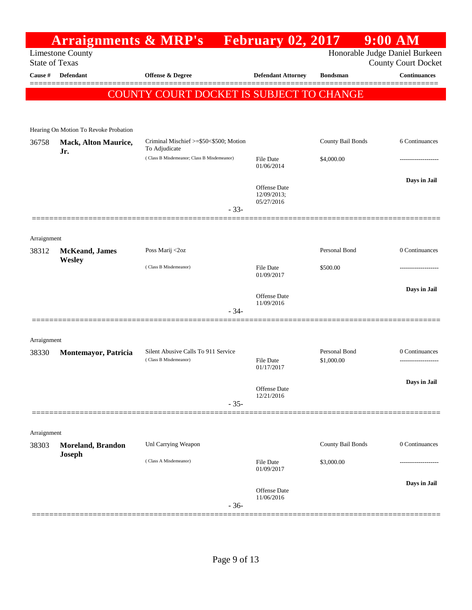|                                  | <b>Arraignments &amp; MRP's</b>           |                                                         | <b>February 02, 2017</b>          |                   | $9:00$ AM                                         |
|----------------------------------|-------------------------------------------|---------------------------------------------------------|-----------------------------------|-------------------|---------------------------------------------------|
|                                  | <b>Limestone County</b>                   |                                                         |                                   |                   | Honorable Judge Daniel Burkeen                    |
| <b>State of Texas</b><br>Cause # | <b>Defendant</b>                          | Offense & Degree                                        | <b>Defendant Attorney</b>         | <b>Bondsman</b>   | <b>County Court Docket</b><br><b>Continuances</b> |
|                                  |                                           |                                                         |                                   |                   |                                                   |
|                                  |                                           | COUNTY COURT DOCKET IS SUBJECT TO CHANGE                |                                   |                   |                                                   |
|                                  |                                           |                                                         |                                   |                   |                                                   |
|                                  | Hearing On Motion To Revoke Probation     |                                                         |                                   |                   |                                                   |
| 36758                            | <b>Mack, Alton Maurice,</b><br>Jr.        | Criminal Mischief >=\$50<\$500; Motion<br>To Adjudicate |                                   | County Bail Bonds | 6 Continuances                                    |
|                                  |                                           | (Class B Misdemeanor; Class B Misdemeanor)              | <b>File Date</b><br>01/06/2014    | \$4,000.00        |                                                   |
|                                  |                                           |                                                         |                                   |                   | Days in Jail                                      |
|                                  |                                           |                                                         | Offense Date<br>12/09/2013;       |                   |                                                   |
|                                  |                                           | $-33-$                                                  | 05/27/2016                        |                   |                                                   |
|                                  |                                           |                                                         |                                   |                   |                                                   |
| Arraignment                      |                                           |                                                         |                                   |                   |                                                   |
| 38312                            | <b>McKeand</b> , James                    | Poss Marij <2oz                                         |                                   | Personal Bond     | 0 Continuances                                    |
|                                  | Wesley                                    | (Class B Misdemeanor)                                   | <b>File Date</b>                  | \$500.00          |                                                   |
|                                  |                                           |                                                         | 01/09/2017                        |                   | Days in Jail                                      |
|                                  |                                           |                                                         | <b>Offense</b> Date<br>11/09/2016 |                   |                                                   |
|                                  |                                           | $-34-$                                                  |                                   |                   |                                                   |
|                                  |                                           |                                                         |                                   |                   |                                                   |
| Arraignment<br>38330             | Montemayor, Patricia                      | Silent Abusive Calls To 911 Service                     |                                   | Personal Bond     | 0 Continuances                                    |
|                                  |                                           | (Class B Misdemeanor)                                   | <b>File Date</b><br>01/17/2017    | \$1,000.00        |                                                   |
|                                  |                                           |                                                         |                                   |                   | Days in Jail                                      |
|                                  |                                           |                                                         | Offense Date<br>12/21/2016        |                   |                                                   |
|                                  |                                           | $-35-$                                                  |                                   |                   |                                                   |
|                                  |                                           |                                                         |                                   |                   |                                                   |
| Arraignment                      |                                           |                                                         |                                   |                   |                                                   |
| 38303                            | <b>Moreland, Brandon</b><br><b>Joseph</b> | Unl Carrying Weapon                                     |                                   | County Bail Bonds | 0 Continuances                                    |
|                                  |                                           | (Class A Misdemeanor)                                   | <b>File Date</b><br>01/09/2017    | \$3,000.00        |                                                   |
|                                  |                                           |                                                         |                                   |                   | Days in Jail                                      |
|                                  |                                           |                                                         | Offense Date<br>11/06/2016        |                   |                                                   |
|                                  |                                           | $-36-$                                                  |                                   |                   |                                                   |

==============================================================================================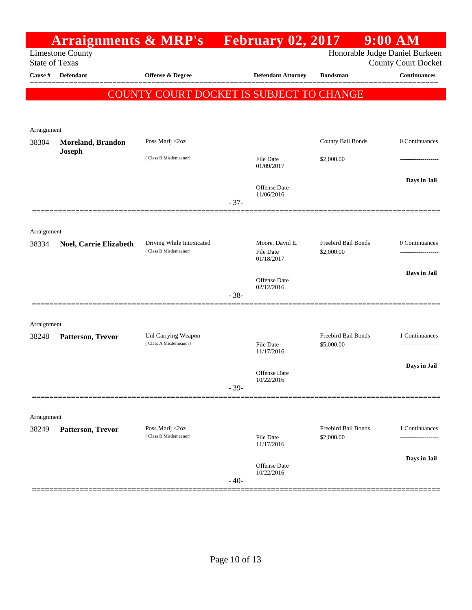|                        | <b>Arraignments &amp; MRP's</b>                  |                                          |        | <b>Expanding Figure 1.13</b>      |                     | $9:00$ AM                                                    |
|------------------------|--------------------------------------------------|------------------------------------------|--------|-----------------------------------|---------------------|--------------------------------------------------------------|
|                        | <b>Limestone County</b><br><b>State of Texas</b> |                                          |        |                                   |                     | Honorable Judge Daniel Burkeen<br><b>County Court Docket</b> |
| Cause #                | <b>Defendant</b>                                 | <b>Offense &amp; Degree</b>              |        | <b>Defendant Attorney</b>         | <b>Bondsman</b>     | Continuances                                                 |
|                        |                                                  | COUNTY COURT DOCKET IS SUBJECT TO CHANGE |        |                                   |                     |                                                              |
|                        |                                                  |                                          |        |                                   |                     |                                                              |
|                        |                                                  |                                          |        |                                   |                     |                                                              |
| Arraignment            |                                                  |                                          |        |                                   |                     |                                                              |
| 38304<br><b>Joseph</b> | <b>Moreland, Brandon</b>                         | Poss Marij <2oz                          |        |                                   | County Bail Bonds   | 0 Continuances                                               |
|                        |                                                  | (Class B Misdemeanor)                    |        | <b>File Date</b><br>01/09/2017    | \$2,000.00          |                                                              |
|                        |                                                  |                                          |        | Offense Date<br>11/06/2016        |                     | Days in Jail                                                 |
|                        |                                                  |                                          | $-37-$ |                                   |                     |                                                              |
|                        |                                                  |                                          |        |                                   |                     |                                                              |
| Arraignment<br>38334   | Noel, Carrie Elizabeth                           | Driving While Intoxicated                |        | Moore, David E.                   | Freebird Bail Bonds | 0 Continuances                                               |
|                        |                                                  | (Class B Misdemeanor)                    |        | <b>File Date</b><br>01/18/2017    | \$2,000.00          |                                                              |
|                        |                                                  |                                          |        | Offense Date                      |                     | Days in Jail                                                 |
|                        |                                                  |                                          | $-38-$ | 02/12/2016                        |                     |                                                              |
|                        |                                                  |                                          |        |                                   |                     |                                                              |
| Arraignment            |                                                  |                                          |        |                                   |                     |                                                              |
| 38248                  | Patterson, Trevor                                | Unl Carrying Weapon                      |        |                                   | Freebird Bail Bonds | 1 Continuances                                               |
|                        |                                                  | (Class A Misdemeanor)                    |        | <b>File Date</b><br>11/17/2016    | \$5,000.00          |                                                              |
|                        |                                                  |                                          |        |                                   |                     | Days in Jail                                                 |
|                        |                                                  |                                          |        | <b>Offense</b> Date<br>10/22/2016 |                     |                                                              |
|                        |                                                  |                                          | $-39-$ |                                   |                     |                                                              |
|                        |                                                  |                                          |        |                                   |                     |                                                              |
| Arraignment<br>38249   | Patterson, Trevor                                | Poss Marij <2oz                          |        |                                   | Freebird Bail Bonds | 1 Continuances                                               |
|                        |                                                  | (Class B Misdemeanor)                    |        | <b>File Date</b><br>11/17/2016    | \$2,000.00          |                                                              |
|                        |                                                  |                                          |        | Offense Date                      |                     | Days in Jail                                                 |
|                        |                                                  |                                          | $-40-$ | 10/22/2016                        |                     |                                                              |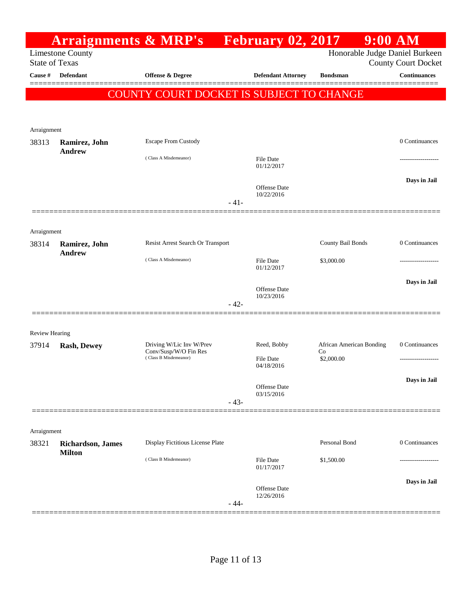|                       |                                                  | <b>Arraignments &amp; MRP's</b> February 02, 2017                          |        |                                               |                                              | $9:00$ AM                  |
|-----------------------|--------------------------------------------------|----------------------------------------------------------------------------|--------|-----------------------------------------------|----------------------------------------------|----------------------------|
|                       | <b>Limestone County</b><br><b>State of Texas</b> |                                                                            |        |                                               | Honorable Judge Daniel Burkeen               | <b>County Court Docket</b> |
| Cause #               | <b>Defendant</b>                                 | Offense & Degree                                                           |        | <b>Defendant Attorney</b>                     | <b>Bondsman</b>                              | <b>Continuances</b>        |
|                       |                                                  | COUNTY COURT DOCKET IS SUBJECT TO CHANGE                                   |        |                                               |                                              |                            |
| Arraignment           |                                                  |                                                                            |        |                                               |                                              |                            |
| 38313                 | Ramirez, John<br><b>Andrew</b>                   | <b>Escape From Custody</b>                                                 |        |                                               |                                              | 0 Continuances             |
|                       |                                                  | (Class A Misdemeanor)                                                      |        | File Date<br>01/12/2017                       |                                              | .                          |
|                       |                                                  |                                                                            | $-41-$ | Offense Date<br>10/22/2016                    |                                              | Days in Jail               |
|                       |                                                  |                                                                            |        |                                               |                                              |                            |
| Arraignment<br>38314  | Ramirez, John<br><b>Andrew</b>                   | Resist Arrest Search Or Transport                                          |        |                                               | County Bail Bonds                            | 0 Continuances             |
|                       |                                                  | (Class A Misdemeanor)                                                      |        | File Date<br>01/12/2017                       | \$3,000.00                                   | .                          |
|                       |                                                  |                                                                            |        | Offense Date<br>10/23/2016                    |                                              | Days in Jail               |
|                       |                                                  |                                                                            | $-42-$ |                                               |                                              |                            |
| <b>Review Hearing</b> |                                                  |                                                                            |        |                                               |                                              |                            |
| 37914                 | <b>Rash, Dewey</b>                               | Driving W/Lic Inv W/Prev<br>Conv/Susp/W/O Fin Res<br>(Class B Misdemeanor) |        | Reed, Bobby<br><b>File Date</b><br>04/18/2016 | African American Bonding<br>Co<br>\$2,000.00 | 0 Continuances             |
|                       |                                                  |                                                                            |        | Offense Date                                  |                                              | Days in Jail               |
|                       |                                                  |                                                                            | $-43-$ | 03/15/2016                                    |                                              |                            |
| Arraignment           |                                                  |                                                                            |        |                                               |                                              |                            |
| 38321                 | <b>Richardson</b> , James<br><b>Milton</b>       | Display Fictitious License Plate                                           |        |                                               | Personal Bond                                | 0 Continuances             |
|                       |                                                  | (Class B Misdemeanor)                                                      |        | <b>File Date</b><br>01/17/2017                | \$1,500.00                                   |                            |
|                       |                                                  |                                                                            | $-44-$ | Offense Date<br>12/26/2016                    |                                              | Days in Jail               |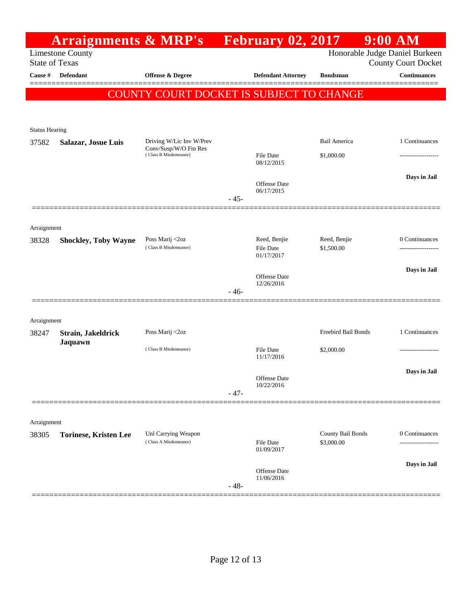|                       | <b>Arraignments &amp; MRP's</b> February 02, 2017 |                                                |        |                                   |                                 | $9:00$ AM                      |
|-----------------------|---------------------------------------------------|------------------------------------------------|--------|-----------------------------------|---------------------------------|--------------------------------|
|                       | <b>Limestone County</b>                           |                                                |        |                                   |                                 | Honorable Judge Daniel Burkeen |
|                       | <b>State of Texas</b>                             |                                                |        |                                   |                                 | <b>County Court Docket</b>     |
| Cause #               | Defendant                                         | <b>Offense &amp; Degree</b>                    |        | <b>Defendant Attorney</b>         | <b>Bondsman</b>                 | Continuances<br>========       |
|                       |                                                   | COUNTY COURT DOCKET IS SUBJECT TO CHANGE       |        |                                   |                                 |                                |
|                       |                                                   |                                                |        |                                   |                                 |                                |
| <b>Status Hearing</b> |                                                   |                                                |        |                                   |                                 |                                |
| 37582                 | <b>Salazar, Josue Luis</b>                        | Driving W/Lic Inv W/Prev                       |        |                                   | Bail America                    | 1 Continuances                 |
|                       |                                                   | Conv/Susp/W/O Fin Res<br>(Class B Misdemeanor) |        | <b>File Date</b>                  | \$1,000.00                      |                                |
|                       |                                                   |                                                |        | 08/12/2015                        |                                 |                                |
|                       |                                                   |                                                |        | <b>Offense Date</b>               |                                 | Days in Jail                   |
|                       |                                                   |                                                | $-45-$ | 06/17/2015                        |                                 |                                |
|                       |                                                   |                                                |        |                                   |                                 |                                |
| Arraignment           |                                                   |                                                |        |                                   |                                 |                                |
| 38328                 | <b>Shockley, Toby Wayne</b>                       | Poss Marij <2oz                                |        | Reed, Benjie                      | Reed, Benjie                    | 0 Continuances                 |
|                       |                                                   | (Class B Misdemeanor)                          |        | <b>File Date</b><br>01/17/2017    | \$1,500.00                      | -------------------            |
|                       |                                                   |                                                |        |                                   |                                 | Days in Jail                   |
|                       |                                                   |                                                |        | <b>Offense Date</b><br>12/26/2016 |                                 |                                |
|                       |                                                   |                                                | $-46-$ |                                   |                                 |                                |
|                       |                                                   |                                                |        |                                   |                                 |                                |
| Arraignment           |                                                   |                                                |        |                                   |                                 |                                |
| 38247                 | Strain, Jakeldrick<br>Jaquawn                     | Poss Marij <2oz                                |        |                                   | Freebird Bail Bonds             | 1 Continuances                 |
|                       |                                                   | (Class B Misdemeanor)                          |        | <b>File Date</b><br>11/17/2016    | \$2,000.00                      |                                |
|                       |                                                   |                                                |        |                                   |                                 | Days in Jail                   |
|                       |                                                   |                                                |        | Offense Date<br>10/22/2016        |                                 |                                |
|                       |                                                   |                                                | $-47-$ |                                   |                                 |                                |
|                       |                                                   |                                                |        |                                   |                                 |                                |
| Arraignment           |                                                   |                                                |        |                                   |                                 |                                |
| 38305                 | <b>Torinese, Kristen Lee</b>                      | Unl Carrying Weapon<br>(Class A Misdemeanor)   |        | File Date                         | County Bail Bonds<br>\$3,000.00 | 0 Continuances                 |
|                       |                                                   |                                                |        | 01/09/2017                        |                                 |                                |
|                       |                                                   |                                                |        | Offense Date                      |                                 | Days in Jail                   |
|                       |                                                   |                                                |        | 11/06/2016                        |                                 |                                |
|                       |                                                   |                                                | $-48-$ |                                   |                                 |                                |